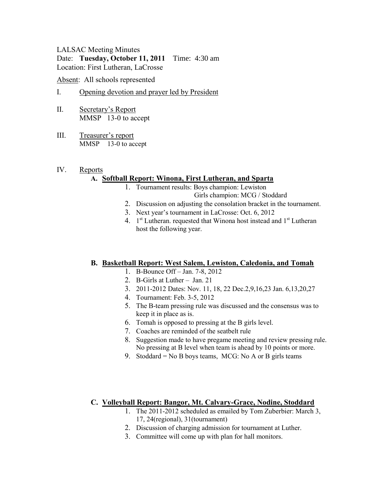### LALSAC Meeting Minutes Date: **Tuesday, October 11, 2011** Time: 4:30 am Location: First Lutheran, LaCrosse

Absent: All schools represented

### I. Opening devotion and prayer led by President

- II. Secretary's Report MMSP 13-0 to accept
- III. Treasurer's report MMSP 13-0 to accept

#### IV. Reports

### **A. Softball Report: Winona, First Lutheran, and Sparta**

- 1. Tournament results: Boys champion: Lewiston Girls champion: MCG / Stoddard
- 2. Discussion on adjusting the consolation bracket in the tournament.
- 3. Next year's tournament in LaCrosse: Oct. 6, 2012
- 4.  $1<sup>st</sup> Lutheran. requested that Winona host instead and  $1<sup>st</sup> Lutheran$$ host the following year.

### **B. Basketball Report: West Salem, Lewiston, Caledonia, and Tomah**

- 1. B-Bounce Off Jan. 7-8, 2012
- 2. B-Girls at Luther Jan. 21
- 3. 2011-2012 Dates: Nov. 11, 18, 22 Dec.2,9,16,23 Jan. 6,13,20,27
- 4. Tournament: Feb. 3-5, 2012
- 5. The B-team pressing rule was discussed and the consensus was to keep it in place as is.
- 6. Tomah is opposed to pressing at the B girls level.
- 7. Coaches are reminded of the seatbelt rule
- 8. Suggestion made to have pregame meeting and review pressing rule. No pressing at B level when team is ahead by 10 points or more.
- 9. Stoddard = No B boys teams, MCG: No A or B girls teams

### **C. Volleyball Report: Bangor, Mt. Calvary-Grace, Nodine, Stoddard**

- 1. The 2011-2012 scheduled as emailed by Tom Zuberbier: March 3, 17, 24(regional), 31(tournament)
- 2. Discussion of charging admission for tournament at Luther.
- 3. Committee will come up with plan for hall monitors.